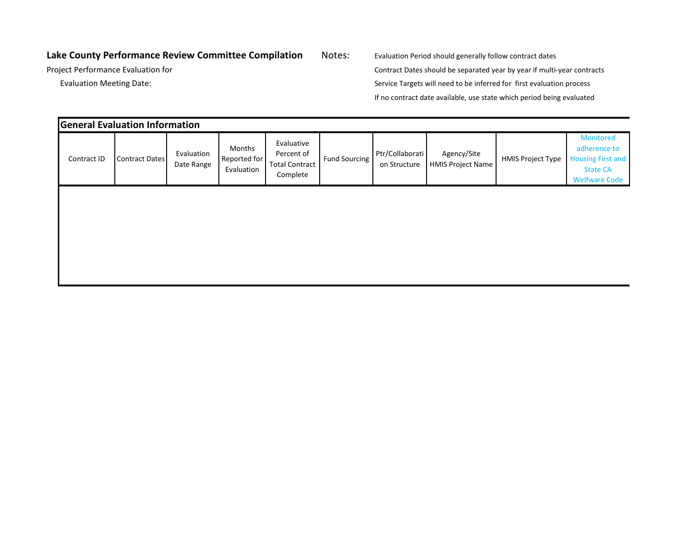## Lake County Performance Review Committee Compilation Notes: Evaluation Period should generally follow contract dates

Project Performance Evaluation for Contract Dates should be separated year by year if multi-year contracts Evaluation Meeting Date: Service Targets will need to be inferred for first evaluation process If no contract date available, use state which period being evaluated

|             | <b>General Evaluation Information</b> |                          |                                      |                                                               |               |                                 |                                         |                          |                                                                                                  |
|-------------|---------------------------------------|--------------------------|--------------------------------------|---------------------------------------------------------------|---------------|---------------------------------|-----------------------------------------|--------------------------|--------------------------------------------------------------------------------------------------|
| Contract ID | <b>Contract Dates</b>                 | Evaluation<br>Date Range | Months<br>Reported for<br>Evaluation | Evaluative<br>Percent of<br><b>Total Contract</b><br>Complete | Fund Sourcing | Ptr/Collaborati<br>on Structure | Agency/Site<br><b>HMIS Project Name</b> | <b>HMIS Project Type</b> | Monitored<br>adherence to<br><b>Housing First and</b><br><b>State CA</b><br><b>Welfware Code</b> |
|             |                                       |                          |                                      |                                                               |               |                                 |                                         |                          |                                                                                                  |
|             |                                       |                          |                                      |                                                               |               |                                 |                                         |                          |                                                                                                  |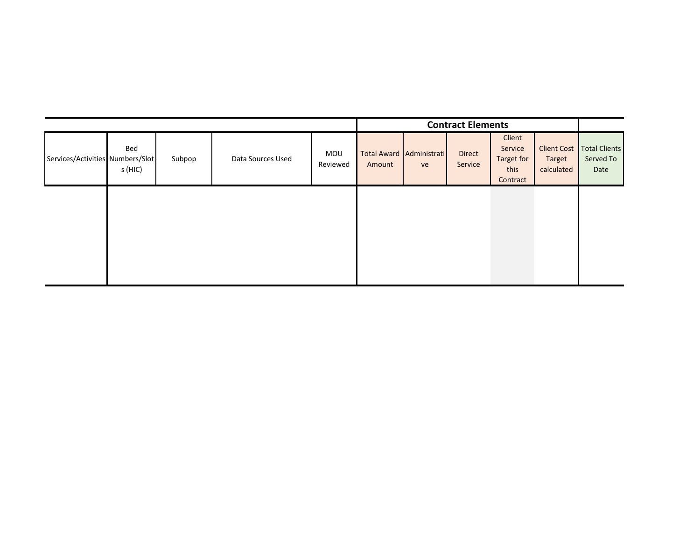| Client<br>Service Client Cost Total Clients<br>Bed<br>Direct<br>Total Award Administrati<br>MOU<br>Data Sources Used<br>Services/Activities Numbers/Slot<br>Served To<br>Subpop<br>Target<br>Target for<br>Service<br>Reviewed<br>Amount<br>ve<br>- 11<br>s (HIC)<br>calculated  <br>this<br>Date<br>Contract |
|---------------------------------------------------------------------------------------------------------------------------------------------------------------------------------------------------------------------------------------------------------------------------------------------------------------|
|                                                                                                                                                                                                                                                                                                               |
|                                                                                                                                                                                                                                                                                                               |
|                                                                                                                                                                                                                                                                                                               |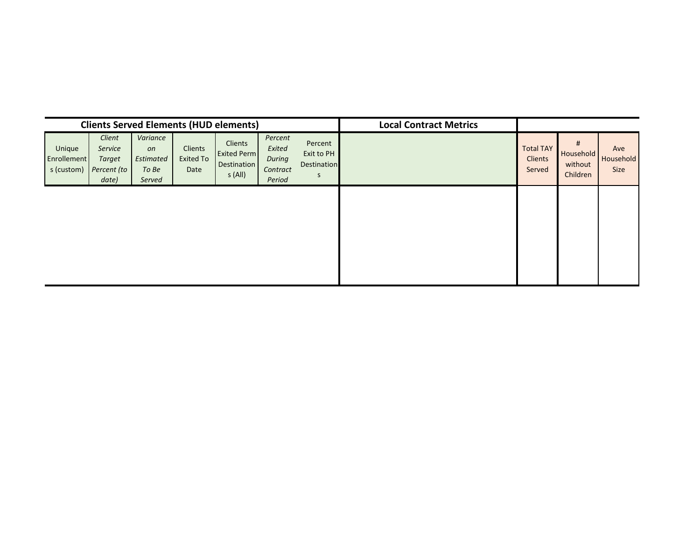| <b>Clients Served Elements (HUD elements)</b> |                                                     |                                                |                                     |                                                               |                                                          |                                           | <b>Local Contract Metrics</b> |                                              |                                       |                                 |
|-----------------------------------------------|-----------------------------------------------------|------------------------------------------------|-------------------------------------|---------------------------------------------------------------|----------------------------------------------------------|-------------------------------------------|-------------------------------|----------------------------------------------|---------------------------------------|---------------------------------|
| Unique<br>Enrollement<br>s (custom)           | Client<br>Service<br>Target<br>Percent (to<br>date) | Variance<br>on<br>Estimated<br>To Be<br>Served | Clients<br><b>Exited To</b><br>Date | Clients<br><b>Exited Perm</b><br><b>Destination</b><br>s(All) | Percent<br>Exited<br><b>During</b><br>Contract<br>Period | Percent<br>Exit to PH<br>Destination<br>S |                               | <b>Total TAY</b><br><b>Clients</b><br>Served | #<br>Household<br>without<br>Children | Ave<br><b>Household</b><br>Size |
|                                               |                                                     |                                                |                                     |                                                               |                                                          |                                           |                               |                                              |                                       |                                 |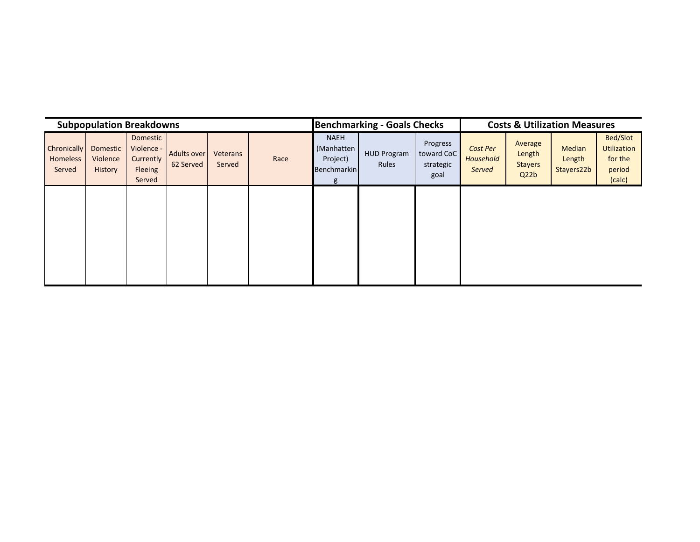| <b>Subpopulation Breakdowns</b>          |                                        |                                                          |                                 |                    |      |                                                           | <b>Benchmarking - Goals Checks</b> |                                             |                                 | <b>Costs &amp; Utilization Measures</b>     |                                |                                                               |  |
|------------------------------------------|----------------------------------------|----------------------------------------------------------|---------------------------------|--------------------|------|-----------------------------------------------------------|------------------------------------|---------------------------------------------|---------------------------------|---------------------------------------------|--------------------------------|---------------------------------------------------------------|--|
| Chronically<br><b>Homeless</b><br>Served | <b>Domestic</b><br>Violence<br>History | Domestic<br>Violence -<br>Currently<br>Fleeing<br>Served | <b>Adults over</b><br>62 Served | Veterans<br>Served | Race | <b>NAEH</b><br>(Manhatten<br>Project)<br>Benchmarkin<br>g | <b>HUD Program</b><br><b>Rules</b> | Progress<br>toward CoC<br>strategic<br>goal | Cost Per<br>Household<br>Served | Average<br>Length<br><b>Stayers</b><br>Q22b | Median<br>Length<br>Stayers22b | <b>Bed/Slot</b><br>Utilization<br>for the<br>period<br>(calc) |  |
|                                          |                                        |                                                          |                                 |                    |      |                                                           |                                    |                                             |                                 |                                             |                                |                                                               |  |